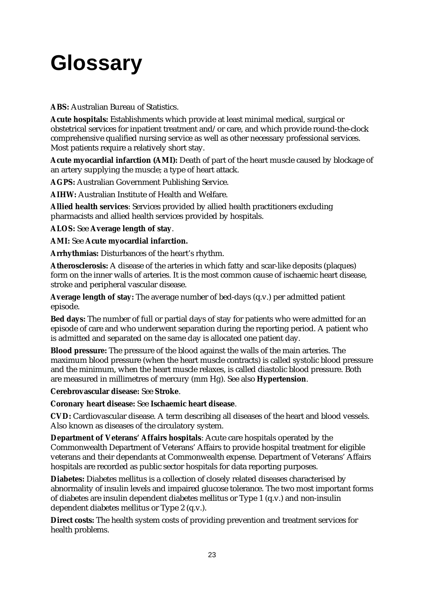# **Glossary**

**ABS:** Australian Bureau of Statistics.

**Acute hospitals:** Establishments which provide at least minimal medical, surgical or obstetrical services for inpatient treatment and/or care, and which provide round-the-clock comprehensive qualified nursing service as well as other necessary professional services. Most patients require a relatively short stay.

**Acute myocardial infarction (AMI):** Death of part of the heart muscle caused by blockage of an artery supplying the muscle; a type of heart attack.

**AGPS:** Australian Government Publishing Service.

**AIHW:** Australian Institute of Health and Welfare.

**Allied health services**: Services provided by allied health practitioners excluding pharmacists and allied health services provided by hospitals.

**ALOS:** See **Average length of stay**.

**AMI:** See **Acute myocardial infarction.**

**Arrhythmias:** Disturbances of the heart's rhythm.

**Atherosclerosis:** A disease of the arteries in which fatty and scar-like deposits (plaques) form on the inner walls of arteries. It is the most common cause of ischaemic heart disease, stroke and peripheral vascular disease.

**Average length of stay:** The average number of bed-days (q.v.) per admitted patient episode.

**Bed days:** The number of full or partial days of stay for patients who were admitted for an episode of care and who underwent separation during the reporting period. A patient who is admitted and separated on the same day is allocated one patient day.

**Blood pressure:** The pressure of the blood against the walls of the main arteries. The maximum blood pressure (when the heart muscle contracts) is called systolic blood pressure and the minimum, when the heart muscle relaxes, is called diastolic blood pressure. Both are measured in millimetres of mercury (mm Hg). See also **Hypertension**.

**Cerebrovascular disease:** See **Stroke**.

**Coronary heart disease:** See **Ischaemic heart disease**.

**CVD:** Cardiovascular disease. A term describing all diseases of the heart and blood vessels. Also known as diseases of the circulatory system.

**Department of Veterans' Affairs hospitals**: Acute care hospitals operated by the Commonwealth Department of Veterans' Affairs to provide hospital treatment for eligible veterans and their dependants at Commonwealth expense. Department of Veterans' Affairs hospitals are recorded as public sector hospitals for data reporting purposes.

**Diabetes:** Diabetes mellitus is a collection of closely related diseases characterised by abnormality of insulin levels and impaired glucose tolerance. The two most important forms of diabetes are insulin dependent diabetes mellitus or Type 1 (q.v.) and non-insulin dependent diabetes mellitus or Type 2 (q.v.).

**Direct costs:** The health system costs of providing prevention and treatment services for health problems.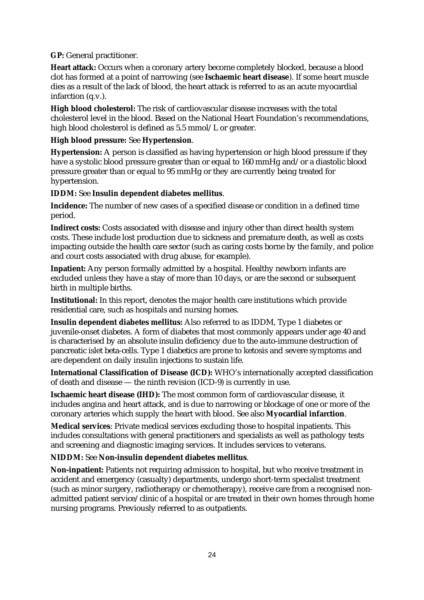**GP:** General practitioner.

**Heart attack:** Occurs when a coronary artery become completely blocked, because a blood clot has formed at a point of narrowing (see **Ischaemic heart disease**). If some heart muscle dies as a result of the lack of blood, the heart attack is referred to as an acute myocardial infarction (q.v.).

**High blood cholesterol:** The risk of cardiovascular disease increases with the total cholesterol level in the blood. Based on the National Heart Foundation's recommendations, high blood cholesterol is defined as 5.5 mmol/L or greater.

## **High blood pressure:** See **Hypertension**.

**Hypertension:** A person is classified as having hypertension or high blood pressure if they have a systolic blood pressure greater than or equal to 160 mmHg and/or a diastolic blood pressure greater than or equal to 95 mmHg or they are currently being treated for hypertension.

## **IDDM:** See **Insulin dependent diabetes mellitus**.

**Incidence:** The number of new cases of a specified disease or condition in a defined time period.

**Indirect costs:** Costs associated with disease and injury other than direct health system costs. These include lost production due to sickness and premature death, as well as costs impacting outside the health care sector (such as caring costs borne by the family, and police and court costs associated with drug abuse, for example).

**Inpatient:** Any person formally admitted by a hospital. Healthy newborn infants are excluded unless they have a stay of more than 10 days, or are the second or subsequent birth in multiple births.

**Institutional:** In this report, denotes the major health care institutions which provide residential care, such as hospitals and nursing homes.

**Insulin dependent diabetes mellitus:** Also referred to as IDDM, Type 1 diabetes or juvenile-onset diabetes. A form of diabetes that most commonly appears under age 40 and is characterised by an absolute insulin deficiency due to the auto-immune destruction of pancreatic islet beta-cells. Type 1 diabetics are prone to ketosis and severe symptoms and are dependent on daily insulin injections to sustain life.

**International Classification of Disease (ICD):** WHO's internationally accepted classification of death and disease — the ninth revision (ICD-9) is currently in use.

**Ischaemic heart disease (IHD):** The most common form of cardiovascular disease, it includes angina and heart attack, and is due to narrowing or blockage of one or more of the coronary arteries which supply the heart with blood. See also **Myocardial infarction**.

**Medical services**: Private medical services excluding those to hospital inpatients. This includes consultations with general practitioners and specialists as well as pathology tests and screening and diagnostic imaging services. It includes services to veterans.

### **NIDDM:** See **Non-insulin dependent diabetes mellitus**.

**Non-inpatient:** Patients not requiring admission to hospital, but who receive treatment in accident and emergency (casualty) departments, undergo short-term specialist treatment (such as minor surgery, radiotherapy or chemotherapy), receive care from a recognised nonadmitted patient service/clinic of a hospital or are treated in their own homes through home nursing programs. Previously referred to as outpatients.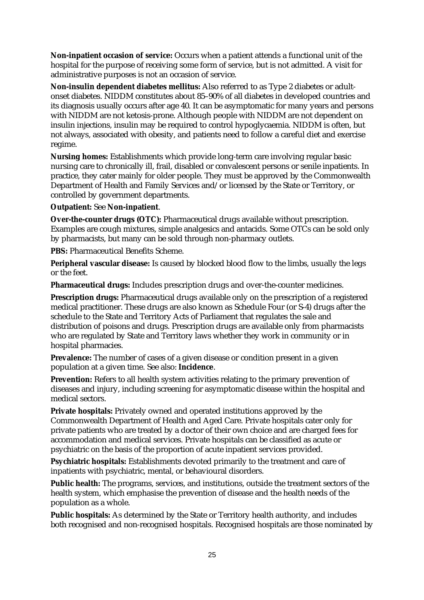**Non-inpatient occasion of service:** Occurs when a patient attends a functional unit of the hospital for the purpose of receiving some form of service, but is not admitted. A visit for administrative purposes is not an occasion of service.

**Non-insulin dependent diabetes mellitus:** Also referred to as Type 2 diabetes or adultonset diabetes. NIDDM constitutes about 85–90% of all diabetes in developed countries and its diagnosis usually occurs after age 40. It can be asymptomatic for many years and persons with NIDDM are not ketosis-prone. Although people with NIDDM are not dependent on insulin injections, insulin may be required to control hypoglycaemia. NIDDM is often, but not always, associated with obesity, and patients need to follow a careful diet and exercise regime.

**Nursing homes:** Establishments which provide long-term care involving regular basic nursing care to chronically ill, frail, disabled or convalescent persons or senile inpatients. In practice, they cater mainly for older people. They must be approved by the Commonwealth Department of Health and Family Services and/or licensed by the State or Territory, or controlled by government departments.

### **Outpatient:** See **Non-inpatient**.

**Over-the-counter drugs (OTC):** Pharmaceutical drugs available without prescription. Examples are cough mixtures, simple analgesics and antacids. Some OTCs can be sold only by pharmacists, but many can be sold through non-pharmacy outlets.

**PBS:** Pharmaceutical Benefits Scheme.

**Peripheral vascular disease:** Is caused by blocked blood flow to the limbs, usually the legs or the feet.

**Pharmaceutical drugs:** Includes prescription drugs and over-the-counter medicines.

**Prescription drugs:** Pharmaceutical drugs available only on the prescription of a registered medical practitioner. These drugs are also known as Schedule Four (or S-4) drugs after the schedule to the State and Territory Acts of Parliament that regulates the sale and distribution of poisons and drugs. Prescription drugs are available only from pharmacists who are regulated by State and Territory laws whether they work in community or in hospital pharmacies.

**Prevalence:** The number of cases of a given disease or condition present in a given population at a given time. See also: **Incidence**.

**Prevention:** Refers to all health system activities relating to the primary prevention of diseases and injury, including screening for asymptomatic disease within the hospital and medical sectors.

**Private hospitals:** Privately owned and operated institutions approved by the Commonwealth Department of Health and Aged Care. Private hospitals cater only for private patients who are treated by a doctor of their own choice and are charged fees for accommodation and medical services. Private hospitals can be classified as acute or psychiatric on the basis of the proportion of acute inpatient services provided.

**Psychiatric hospitals:** Establishments devoted primarily to the treatment and care of inpatients with psychiatric, mental, or behavioural disorders.

**Public health:** The programs, services, and institutions, outside the treatment sectors of the health system, which emphasise the prevention of disease and the health needs of the population as a whole.

**Public hospitals:** As determined by the State or Territory health authority, and includes both recognised and non-recognised hospitals. Recognised hospitals are those nominated by